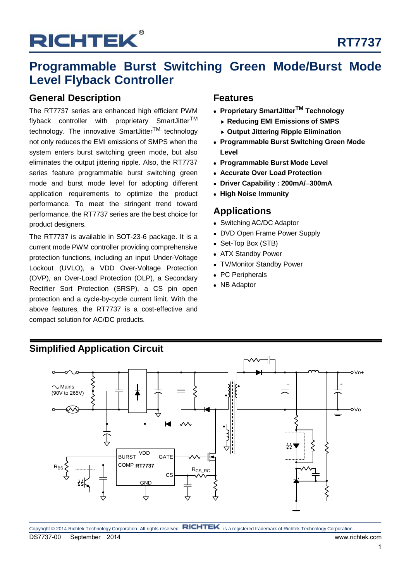### **General Description**

The RT7737 series are enhanced high efficient PWM flyback controller with proprietary SmartJitter<sup>TM</sup> technology. The innovative SmartJitter<sup>TM</sup> technology not only reduces the EMI emissions of SMPS when the system enters burst switching green mode, but also eliminates the output jittering ripple. Also, the RT7737 series feature programmable burst switching green mode and burst mode level for adopting different application requirements to optimize the product performance. To meet the stringent trend toward performance, the RT7737 series are the best choice for product designers.

The RT7737 is available in SOT-23-6 package. It is a current mode PWM controller providing comprehensive protection functions, including an input Under-Voltage Lockout (UVLO), a VDD Over-Voltage Protection (OVP), an Over-Load Protection (OLP), a Secondary Rectifier Sort Protection (SRSP), a CS pin open protection and a cycle-by-cycle current limit. With the above features, the RT7737 is a cost-effective and compact solution for AC/DC products.

### **Features**

- **Proprietary SmartJitterTM Technology**
	- **Reducing EMI Emissions of SMPS**
	- **Output Jittering Ripple Elimination**
- **Programmable Burst Switching Green Mode Level**

**RT7737**

- **Programmable Burst Mode Level**
- **Accurate Over Load Protection**
- **Driver Capability : 200mA/300mA**
- **High Noise Immunity**

### **Applications**

- Switching AC/DC Adaptor
- DVD Open Frame Power Supply
- Set-Top Box (STB)
- ATX Standby Power
- TV/Monitor Standby Power
- PC Peripherals
- NB Adaptor

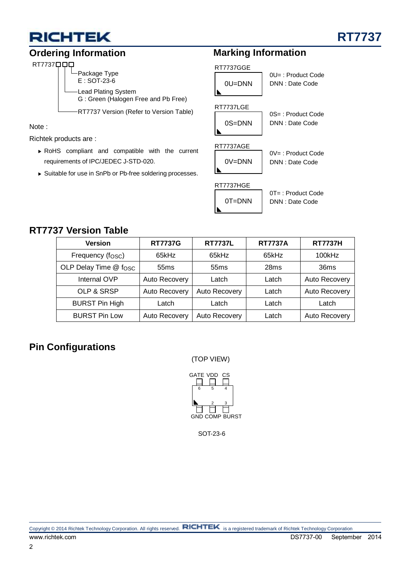



### **Ordering Information**

RT7737000 Package Type E : SOT-23-6 -Lead Plating System G : Green (Halogen Free and Pb Free)

RT7737 Version (Refer to Version Table)

### Note :

Richtek products are :

- RoHS compliant and compatible with the current requirements of IPC/JEDEC J-STD-020.
- Suitable for use in SnPb or Pb-free soldering processes.

### **Marking Information**



0U= : Product Code



RT7737LGE<br>
0S=DNN 0S= : Product Code<br>
DNN : Date Code



RT7737AGE<br>
0V=DNN DNN : Date Code



RT7737HGE<br>
0T=DNN 0T= : Product Code<br>
0T=DNN DNN : Date Code

### **RT7737 Version Table**

| <b>Version</b>        | <b>RT7737G</b> | <b>RT7737L</b> | <b>RT7737A</b>   | <b>RT7737H</b>   |
|-----------------------|----------------|----------------|------------------|------------------|
| Frequency (fosc)      | 65kHz          | 65kHz          | 65kHz            | 100kHz           |
| OLP Delay Time @ fosc | 55ms           | 55ms           | 28 <sub>ms</sub> | 36 <sub>ms</sub> |
| Internal OVP          | Auto Recovery  | Latch          | Latch            | Auto Recovery    |
| <b>OLP &amp; SRSP</b> | Auto Recovery  | Auto Recovery  | Latch            | Auto Recovery    |
| <b>BURST Pin High</b> | Latch          | Latch          | Latch            | Latch            |
| <b>BURST Pin Low</b>  | Auto Recovery  | Auto Recovery  | Latch            | Auto Recovery    |

### **Pin Configurations**





SOT-23-6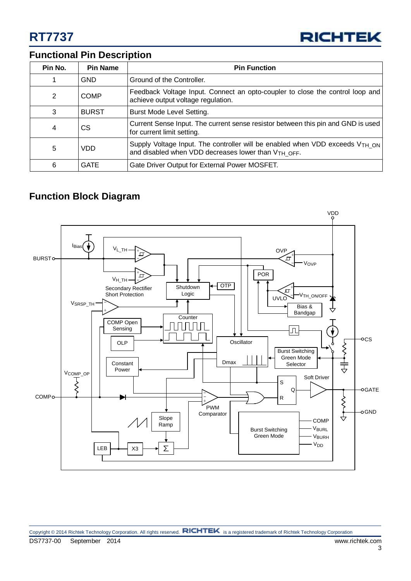

### **Functional Pin Description**

| Pin No. | <b>Pin Name</b> | <b>Pin Function</b>                                                                                                                               |
|---------|-----------------|---------------------------------------------------------------------------------------------------------------------------------------------------|
|         | <b>GND</b>      | Ground of the Controller.                                                                                                                         |
| 2       | COMP            | Feedback Voltage Input. Connect an opto-coupler to close the control loop and<br>achieve output voltage regulation.                               |
| 3       | <b>BURST</b>    | Burst Mode Level Setting.                                                                                                                         |
| 4       | CS              | Current Sense Input. The current sense resistor between this pin and GND is used<br>for current limit setting.                                    |
| 5       | VDD             | Supply Voltage Input. The controller will be enabled when VDD exceeds $VTH$ on<br>and disabled when VDD decreases lower than V <sub>TH</sub> OFF. |
| 6       | <b>GATE</b>     | Gate Driver Output for External Power MOSFET.                                                                                                     |

## **Function Block Diagram**

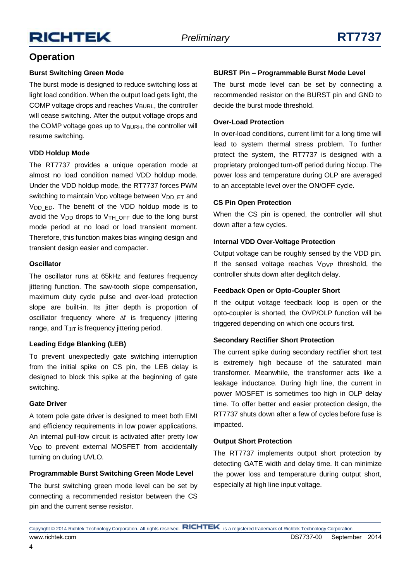### **Operation**

### **Burst Switching Green Mode**

The burst mode is designed to reduce switching loss at light load condition. When the output load gets light, the COMP voltage drops and reaches  $V_{\text{BURL}}$ , the controller will cease switching. After the output voltage drops and the COMP voltage goes up to V<sub>BURH</sub>, the controller will resume switching.

### **VDD Holdup Mode**

The RT7737 provides a unique operation mode at almost no load condition named VDD holdup mode. Under the VDD holdup mode, the RT7737 forces PWM switching to maintain V<sub>DD</sub> voltage between V<sub>DD\_ET</sub> and V<sub>DD</sub> ED. The benefit of the VDD holdup mode is to avoid the  $V_{DD}$  drops to  $V_{TH}$  OFF due to the long burst mode period at no load or load transient moment. Therefore, this function makes bias winging design and transient design easier and compacter.

### **Oscillator**

The oscillator runs at 65kHz and features frequency jittering function. The saw-tooth slope compensation, maximum duty cycle pulse and over-load protection slope are built-in. Its jitter depth is proportion of oscillator frequency where  $\Delta f$  is frequency jittering range, and TJIT is frequency jittering period.

### **Leading Edge Blanking (LEB)**

To prevent unexpectedly gate switching interruption from the initial spike on CS pin, the LEB delay is designed to block this spike at the beginning of gate switching.

### **Gate Driver**

A totem pole gate driver is designed to meet both EMI and efficiency requirements in low power applications. An internal pull-low circuit is activated after pretty low V<sub>DD</sub> to prevent external MOSFET from accidentally turning on during UVLO.

### **Programmable Burst Switching Green Mode Level**

The burst switching green mode level can be set by connecting a recommended resistor between the CS pin and the current sense resistor.

### **BURST Pin – Programmable Burst Mode Level**

The burst mode level can be set by connecting a recommended resistor on the BURST pin and GND to decide the burst mode threshold.

### **Over-Load Protection**

In over-load conditions, current limit for a long time will lead to system thermal stress problem. To further protect the system, the RT7737 is designed with a proprietary prolonged turn-off period during hiccup. The power loss and temperature during OLP are averaged to an acceptable level over the ON/OFF cycle.

### **CS Pin Open Protection**

When the CS pin is opened, the controller will shut down after a few cycles.

### **Internal VDD Over-Voltage Protection**

Output voltage can be roughly sensed by the VDD pin. If the sensed voltage reaches Vove threshold, the controller shuts down after deglitch delay.

### **Feedback Open or Opto-Coupler Short**

If the output voltage feedback loop is open or the opto-coupler is shorted, the OVP/OLP function will be triggered depending on which one occurs first.

### **Secondary Rectifier Short Protection**

The current spike during secondary rectifier short test is extremely high because of the saturated main transformer. Meanwhile, the transformer acts like a leakage inductance. During high line, the current in power MOSFET is sometimes too high in OLP delay time. To offer better and easier protection design, the RT7737 shuts down after a few of cycles before fuse is impacted.

### **Output Short Protection**

The RT7737 implements output short protection by detecting GATE width and delay time. It can minimize the power loss and temperature during output short, especially at high line input voltage.

Copyright © 2014 Richtek Technology Corporation. All rights reserved. RICHTEK is a registered trademark of Richtek Technology Corporation www.richtek.com DS7737-00 September 2014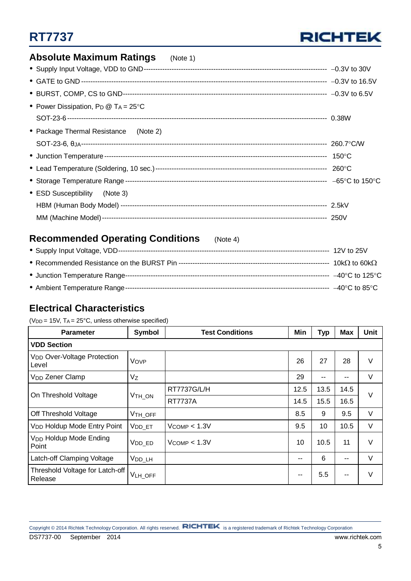

## **Absolute Maximum Ratings** (Note 1)

| • Power Dissipation, $P_D @ T_A = 25^{\circ}C$ |  |
|------------------------------------------------|--|
|                                                |  |
| • Package Thermal Resistance (Note 2)          |  |
|                                                |  |
|                                                |  |
|                                                |  |
|                                                |  |
| • ESD Susceptibility<br>(Note 3)               |  |
|                                                |  |
|                                                |  |
|                                                |  |

### **Recommended Operating Conditions** (Note 4)

### **Electrical Characteristics**

( $V_{DD}$  = 15V, T<sub>A</sub> = 25°C, unless otherwise specified)

| <b>Parameter</b>                                 | Symbol              | <b>Test Conditions</b> | Min  | <b>Typ</b> | <b>Max</b> | Unit   |
|--------------------------------------------------|---------------------|------------------------|------|------------|------------|--------|
| <b>VDD Section</b>                               |                     |                        |      |            |            |        |
| V <sub>DD</sub> Over-Voltage Protection<br>Level | Vovp                |                        | 26   | 27         | 28         | $\vee$ |
| V <sub>DD</sub> Zener Clamp                      | Vz                  |                        | 29   | --         |            | V      |
|                                                  |                     | <b>RT7737G/L/H</b>     | 12.5 | 13.5       | 14.5       | $\vee$ |
| On Threshold Voltage                             | V <sub>TH_ON</sub>  | <b>RT7737A</b>         | 14.5 | 15.5       | 16.5       |        |
| Off Threshold Voltage                            | V <sub>TH_OFF</sub> |                        | 8.5  | 9          | 9.5        | V      |
| V <sub>DD</sub> Holdup Mode Entry Point          | V <sub>DD_ET</sub>  | $V_{COMP}$ < 1.3V      | 9.5  | 10         | 10.5       | V      |
| V <sub>DD</sub> Holdup Mode Ending<br>Point      | $VDD_ED$            | $V_{COMP} < 1.3V$      | 10   | 10.5       | 11         | V      |
| Latch-off Clamping Voltage                       | V <sub>DD_LH</sub>  |                        | --   | 6          | --         | $\vee$ |
| Threshold Voltage for Latch-off<br>Release       | VLH_OFF             |                        | --   | 5.5        | --         | V      |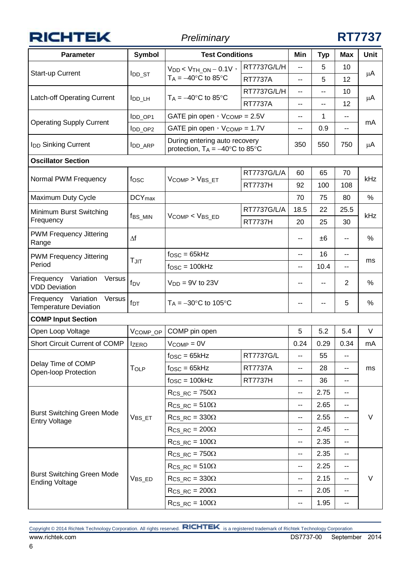|  | <b>RICHTEK</b> |
|--|----------------|
|  |                |



| <b>Parameter</b>                                              | Symbol                    | <b>Test Conditions</b>                                                    |                    | Min  | <b>Typ</b> | <b>Max</b>     | <b>Unit</b> |
|---------------------------------------------------------------|---------------------------|---------------------------------------------------------------------------|--------------------|------|------------|----------------|-------------|
|                                                               |                           | $V_{DD}$ < $V_{TH\_ON}$ - 0.1V $\cdot$                                    | RT7737G/L/H        | --   | 5          | 10             | μA          |
| Start-up Current                                              | <b>I</b> DD_ST            | $T_A = -40$ °C to 85°C                                                    | <b>RT7737A</b>     | --   | 5          | 12             |             |
|                                                               |                           |                                                                           | RT7737G/L/H        | --   | --         | 10             |             |
| Latch-off Operating Current                                   | $I$ <sub>DD_LH</sub>      | $T_A = -40$ °C to 85°C                                                    | <b>RT7737A</b>     | --   | --         | 12             | μA          |
|                                                               | IDD_OP1                   | GATE pin open $\cdot$ V <sub>COMP</sub> = 2.5V                            |                    | --   | 1          | --             | mA          |
| <b>Operating Supply Current</b>                               | IDD_OP2                   | GATE pin open $\cdot$ V <sub>COMP</sub> = 1.7V                            |                    | --   | 0.9        | --             |             |
| <b>IDD Sinking Current</b>                                    | <b>I</b> DD_ARP           | During entering auto recovery<br>protection, $T_A = -40^{\circ}C$ to 85°C |                    | 350  | 550        | 750            | μA          |
| <b>Oscillator Section</b>                                     |                           |                                                                           |                    |      |            |                |             |
| Normal PWM Frequency                                          | fosc                      | VCOMP > VBS ET                                                            | <b>RT7737G/L/A</b> | 60   | 65         | 70             | kHz         |
|                                                               |                           |                                                                           | <b>RT7737H</b>     | 92   | 100        | 108            |             |
| Maximum Duty Cycle                                            | <b>DCY</b> <sub>max</sub> |                                                                           |                    | 70   | 75         | 80             | %           |
| Minimum Burst Switching                                       | f <sub>BS_MIN</sub>       | $V_{COMP}$ < $V_{BSED}$                                                   | <b>RT7737G/L/A</b> | 18.5 | 22         | 25.5           | kHz         |
| Frequency                                                     |                           |                                                                           | <b>RT7737H</b>     | 20   | 25         | 30             |             |
| PWM Frequency Jittering<br>Range                              | Δf                        |                                                                           |                    | --   | ±6         | --             | %           |
| <b>PWM Frequency Jittering</b>                                | $T$ JIT                   | $f$ osc = 65 $k$ Hz<br>$fOSC = 100kHz$                                    |                    | --   | 16         | --             | ms          |
| Period                                                        |                           |                                                                           |                    | --   | 10.4       | --             |             |
| Variation<br>Frequency<br>Versus<br><b>VDD Deviation</b>      | f <sub>DV</sub>           | $VDD = 9V$ to 23V                                                         |                    | --   | --         | $\overline{2}$ | %           |
| Frequency Variation<br>Versus<br><b>Temperature Deviation</b> | $f_{DT}$                  | $T_A = -30$ °C to 105°C                                                   |                    | --   | --         | 5              | %           |
| <b>COMP Input Section</b>                                     |                           |                                                                           |                    |      |            |                |             |
| Open Loop Voltage                                             | VCOMP_OP                  | COMP pin open                                                             |                    | 5    | 5.2        | 5.4            | $\vee$      |
| <b>Short Circuit Current of COMP</b>                          | <b>IZERO</b>              | $V_{COMP} = 0V$                                                           |                    | 0.24 | 0.29       | 0.34           | mA          |
|                                                               |                           | $f$ OSC = 65 $k$ Hz                                                       | <b>RT7737G/L</b>   | --   | 55         | --             |             |
| Delay Time of COMP<br>Open-loop Protection                    | TOLP                      | $fOSC = 65kHz$                                                            | <b>RT7737A</b>     | ۰.   | 28         | ۰.             | ms          |
|                                                               |                           | $fOSC = 100kHz$                                                           | <b>RT7737H</b>     | --   | 36         | --             |             |
|                                                               |                           | $Rcs$ RC = 750 $\Omega$                                                   |                    | --   | 2.75       | --             |             |
|                                                               |                           | $R_{CS}$ RC = 510 $\Omega$                                                |                    | $-$  | 2.65       | $-1$           |             |
| <b>Burst Switching Green Mode</b><br><b>Entry Voltage</b>     | V <sub>BS_ET</sub>        | $Rcs$ <sub>RC</sub> = 330 $\Omega$                                        |                    | --   | 2.55       | --             | V           |
|                                                               |                           | $R_{CS}$ RC = 200 $\Omega$                                                |                    | --   | 2.45       | --             |             |
|                                                               |                           | $R_{CS}$ RC = 100 $\Omega$                                                |                    | --   | 2.35       | --             |             |
|                                                               |                           | $Rcs$ <sub>RC</sub> = $750\Omega$                                         |                    | ۰.   | 2.35       | н.             | V           |
|                                                               |                           | $R_{CS}$ RC = 510 $\Omega$                                                |                    | ۰.   | 2.25       | н.             |             |
| <b>Burst Switching Green Mode</b><br><b>Ending Voltage</b>    | V <sub>BS_ED</sub>        | $Rcs$ <sub>RC</sub> = 330 $\Omega$                                        |                    | --   | 2.15       | --             |             |
|                                                               |                           | $R_{CS}$ RC = 200 $\Omega$                                                |                    | --   | 2.05       | --             |             |
|                                                               |                           | $R_{CS\_RC} = 100\Omega$                                                  |                    | --   | 1.95       | --             |             |

Copyright © 2014 Richtek Technology Corporation. All rights reserved. RICHTEK is a registered trademark of Richtek Technology Corporation www.richtek.com DS7737-00 September 2014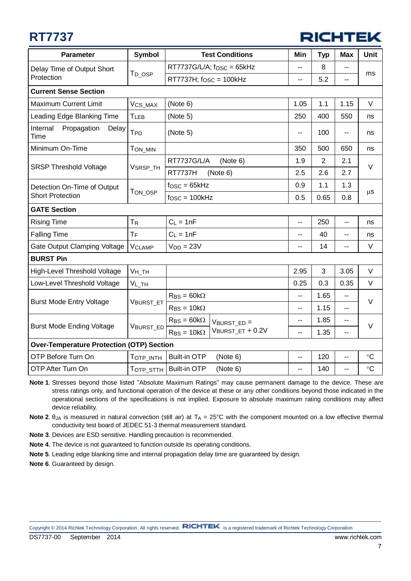

| <b>Parameter</b>                         | <b>Symbol</b>                                    |                          | <b>Test Conditions</b>       | Min            | <b>Typ</b>     | <b>Max</b> | <b>Unit</b> |  |
|------------------------------------------|--------------------------------------------------|--------------------------|------------------------------|----------------|----------------|------------|-------------|--|
| Delay Time of Output Short               |                                                  |                          | $RT7737G/L/A$ ; fosc = 65kHz | --             | 8              | --         |             |  |
| Protection                               | T <sub>D_OSP</sub>                               | RT7737H; $fOSC = 100kHz$ |                              | --             | 5.2            | $-$        | ms          |  |
| <b>Current Sense Section</b>             |                                                  |                          |                              |                |                |            |             |  |
| <b>Maximum Current Limit</b>             | V <sub>CS_MAX</sub>                              | (Note 6)                 |                              | 1.05           | 1.1            | 1.15       | $\vee$      |  |
| Leading Edge Blanking Time               | TLEB                                             | (Note 5)                 |                              | 250            | 400            | 550        | ns          |  |
| Internal<br>Propagation<br>Delay<br>Time | T <sub>PD</sub>                                  | (Note 5)                 |                              | --             | 100            | --         | ns          |  |
| Minimum On-Time                          | TON_MIN                                          |                          |                              | 350            | 500            | 650        | ns          |  |
|                                          |                                                  | <b>RT7737G/L/A</b>       | (Note 6)                     | 1.9            | $\overline{2}$ | 2.1        | $\vee$      |  |
| <b>SRSP Threshold Voltage</b>            | VSRSP_TH                                         | <b>RT7737H</b>           | (Note 6)                     | 2.5            | 2.6            | 2.7        |             |  |
| Detection On-Time of Output              |                                                  | $f$ OSC = 65 $k$ Hz      |                              | 0.9            | 1.1            | 1.3        |             |  |
| <b>Short Protection</b>                  | TON_OSP                                          | $fOSC = 100kHz$          |                              | 0.5            | 0.65           | 0.8        | $\mu$ s     |  |
| <b>GATE Section</b>                      |                                                  |                          |                              |                |                |            |             |  |
| <b>Rising Time</b>                       | <b>T<sub>R</sub></b>                             | $C_L = 1nF$              |                              | --             | 250            | --         | ns          |  |
| <b>Falling Time</b>                      | $T_F$                                            | $C_L = 1nF$              |                              | --             | 40             | --         | ns          |  |
| <b>Gate Output Clamping Voltage</b>      | <b>VCLAMP</b>                                    | $VDD = 23V$              |                              | --             | 14             | --         | $\vee$      |  |
| <b>BURST Pin</b>                         |                                                  |                          |                              |                |                |            |             |  |
| High-Level Threshold Voltage             | $V_{H\_TH}$                                      |                          |                              | 2.95           | 3              | 3.05       | V           |  |
| Low-Level Threshold Voltage              | V <sub>L_TH</sub>                                |                          |                              | 0.25           | 0.3            | 0.35       | $\vee$      |  |
|                                          |                                                  | $R_{BS} = 60k\Omega$     |                              | $\overline{a}$ | 1.65           | --         |             |  |
| <b>Burst Mode Entry Voltage</b>          | VBURST_ET                                        | $R_{BS} = 10k\Omega$     |                              | --             | 1.15           | --         | V           |  |
|                                          |                                                  | $R_{BS} = 60k\Omega$     | VBURST_ED =                  | --             | 1.85           | --         |             |  |
| <b>Burst Mode Ending Voltage</b>         | VBURST_ED                                        | $R_{BS} = 10k\Omega$     | VBURST_ET + 0.2V             | --             | 1.35           | --         | $\vee$      |  |
|                                          | <b>Over-Temperature Protection (OTP) Section</b> |                          |                              |                |                |            |             |  |
| OTP Before Turn On                       | TOTP_INTH                                        | <b>Built-in OTP</b>      | (Note 6)                     | $\overline{a}$ | 120            |            | $\circ$ C   |  |
| OTP After Turn On                        | TOTP_STTH                                        | <b>Built-in OTP</b>      | (Note 6)                     | $\overline{a}$ | 140            | ۵.         | $\circ$ C   |  |

**Note 1**. Stresses beyond those listed "Absolute Maximum Ratings" may cause permanent damage to the device. These are stress ratings only, and functional operation of the device at these or any other conditions beyond those indicated in the operational sections of the specifications is not implied. Exposure to absolute maximum rating conditions may affect device reliability.

**Note 2**. θ<sub>JA</sub> is measured in natural convection (still air) at T<sub>A</sub> = 25°C with the component mounted on a low effective thermal conductivity test board of JEDEC 51-3 thermal measurement standard.

**Note 3**. Devices are ESD sensitive. Handling precaution is recommended.

**Note 4**. The device is not guaranteed to function outside its operating conditions.

**Note 5**. Leading edge blanking time and internal propagation delay time are guaranteed by design.

**Note 6**. Guaranteed by design.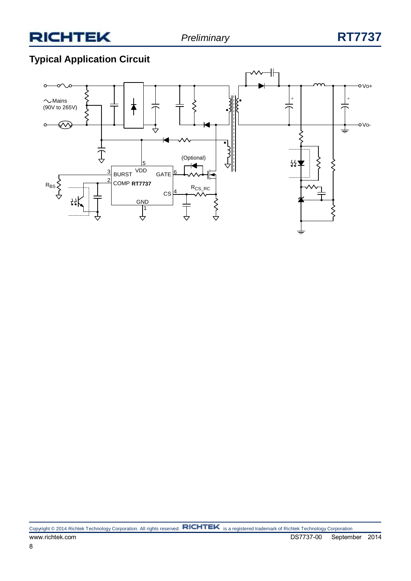

# **Typical Application Circuit**

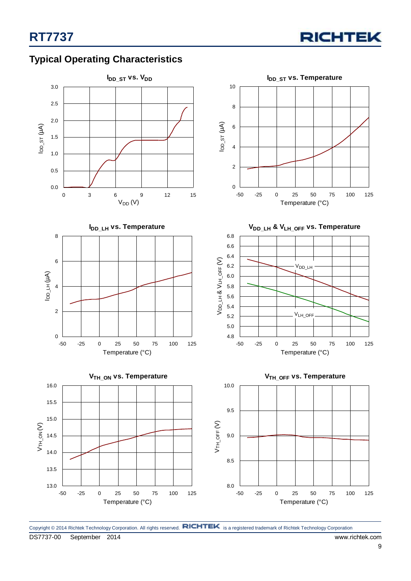## **Typical Operating Characteristics**



Copyright © 2014 Richtek Technology Corporation. All rights reserved. RICHTEK is a registered trademark of Richtek Technology Corporation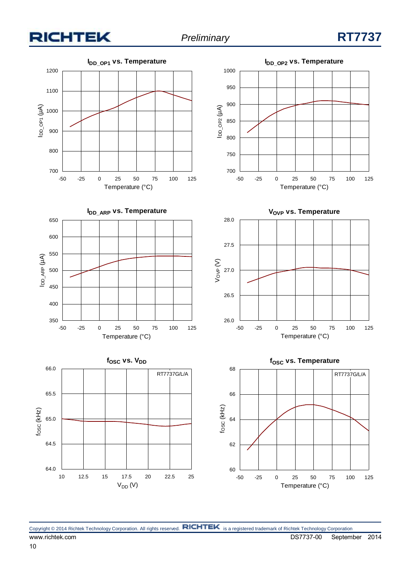



Copyright © 2014 Richtek Technology Corporation. All rights reserved. RICHTEK is a registered trademark of Richtek Technology Corporation www.richtek.com DS7737-00 September 2014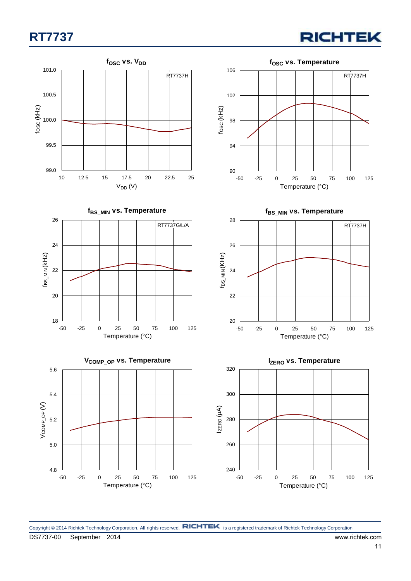fOSC (kHz)

fBS\_MIN (kHz)

4.8

 $V_{\text{COMP\_OP}}(V)$ 

**fOSC vs. VDD**



240

**fOSC vs. Temperature**

**RICHTEK** 

-50 -25 0 25 50 75 100 125 Temperature (°C)

-50 -25 0 25 50 75 100 125 Temperature (°C)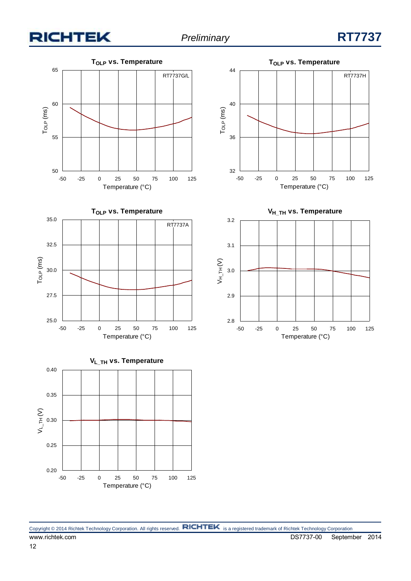



Copyright © 2014 Richtek Technology Corporation. All rights reserved. RICHTEK is a registered trademark of Richtek Technology Corporation

12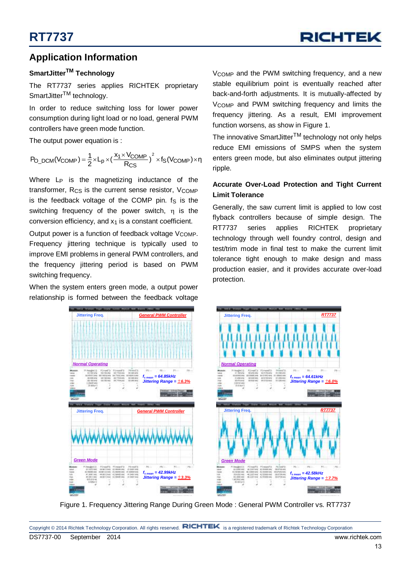### **Application Information**

### **SmartJitterTM Technology**

The RT7737 series applies RICHTEK proprietary SmartJitter<sup>TM</sup> technology.

In order to reduce switching loss for lower power consumption during light load or no load, general PWM controllers have green mode function.

The output power equation is :  
\n
$$
P_{O\_DCM}(V_{COMP}) = \frac{1}{2} \times L_p \times \left(\frac{x_1 \times V_{COMP}}{R_{CS}}\right)^2 \times f_S(V_{COMP}) \times \eta
$$

Where L<sub>P</sub> is the magnetizing inductance of the transformer,  $R_{CS}$  is the current sense resistor,  $V_{COMP}$ is the feedback voltage of the COMP pin. fs is the switching frequency of the power switch,  $\eta$  is the conversion efficiency, and  $x_1$  is a constant coefficient.

Output power is a function of feedback voltage  $V_{\text{COMP}}$ . Frequency jittering technique is typically used to improve EMI problems in general PWM controllers, and the frequency jittering period is based on PWM switching frequency.

When the system enters green mode, a output power relationship is formed between the feedback voltage V<sub>COMP</sub> and the PWM switching frequency, and a new stable equilibrium point is eventually reached after back-and-forth adjustments. It is mutually-affected by V<sub>COMP</sub> and PWM switching frequency and limits the frequency jittering. As a result, EMI improvement function worsens, as show in Figure 1.

**RICHTEK** 

The innovative SmartJitter<sup>TM</sup> technology not only helps reduce EMI emissions of SMPS when the system enters green mode, but also eliminates output jittering ripple.

### **Accurate Over-Load Protection and Tight Current Limit Tolerance**

Generally, the saw current limit is applied to low cost flyback controllers because of simple design. The RT7737 series applies RICHTEK proprietary technology through well foundry control, design and test/trim mode in final test to make the current limit tolerance tight enough to make design and mass production easier, and it provides accurate over-load protection.



Figure 1. Frequency Jittering Range During Green Mode : General PWM Controller vs. RT7737

|                          |  | Copyright © 2014 Richtek Technology Corporation. All rights reserved. RICHTEK is a registered trademark of Richtek Technology Corporation |  |
|--------------------------|--|-------------------------------------------------------------------------------------------------------------------------------------------|--|
| DS7737-00 September 2014 |  | www.richtek.com                                                                                                                           |  |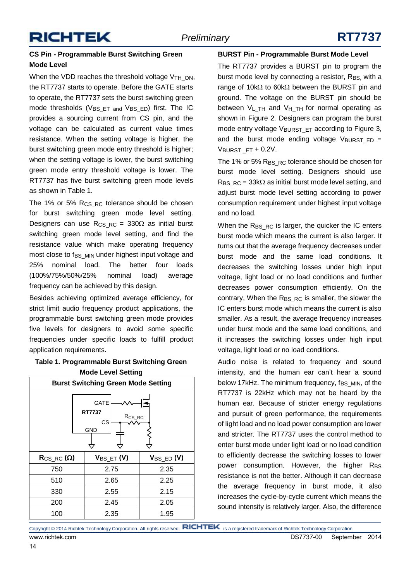# *Preliminary* **RT7737**

### **CS Pin - Programmable Burst Switching Green Mode Level**

When the VDD reaches the threshold voltage VTH ON, the RT7737 starts to operate. Before the GATE starts to operate, the RT7737 sets the burst switching green mode thresholds (VBS\_ET and VBS\_ED) first. The IC provides a sourcing current from CS pin, and the voltage can be calculated as current value times resistance. When the setting voltage is higher, the burst switching green mode entry threshold is higher; when the setting voltage is lower, the burst switching green mode entry threshold voltage is lower. The RT7737 has five burst switching green mode levels as shown in Table 1.

The 1% or 5% R<sub>CS</sub> R<sub>C</sub> tolerance should be chosen for burst switching green mode level setting. Designers can use R<sub>CS</sub> R<sub>C</sub> =  $330\Omega$  as initial burst switching green mode level setting, and find the resistance value which make operating frequency most close to f<sub>BS</sub> MIN under highest input voltage and 25% nominal load. The better four loads (100%/75%/50%/25% nominal load) average frequency can be achieved by this design.

Besides achieving optimized average efficiency, for strict limit audio frequency product applications, the programmable burst switching green mode provides five levels for designers to avoid some specific frequencies under specific loads to fulfill product application requirements.

### **Table 1. Programmable Burst Switching Green Mode Level Setting**

| <b>Burst Switching Green Mode Setting</b>                       |                  |                 |  |  |  |  |
|-----------------------------------------------------------------|------------------|-----------------|--|--|--|--|
| <b>GATE</b><br>R <sub>CS_RC</sub><br>RT7737<br>СS<br><b>GND</b> |                  |                 |  |  |  |  |
| $R_{CS\_RC}(\Omega)$                                            | $V_{BS\_ET} (V)$ | $V_{BS_ED} (V)$ |  |  |  |  |
| 750                                                             | 2.75             | 2.35            |  |  |  |  |
| 510<br>2.65<br>2.25                                             |                  |                 |  |  |  |  |
| 330<br>2.55<br>2.15                                             |                  |                 |  |  |  |  |
| 200<br>2.45<br>2.05                                             |                  |                 |  |  |  |  |
| 100                                                             | 2.35             | 1.95            |  |  |  |  |

#### **BURST Pin - Programmable Burst Mode Level**

The RT7737 provides a BURST pin to program the burst mode level by connecting a resistor, RBS, with a range of 10k $\Omega$  to 60k $\Omega$  between the BURST pin and ground. The voltage on the BURST pin should be between VL\_TH and VH\_TH for normal operating as shown in Figure 2. Designers can program the burst mode entry voltage  $V_{\text{BURST ET}}$  according to Figure 3, and the burst mode ending voltage  $V_{\text{BURST ED}} =$ VBURST ET + 0.2V.

The 1% or 5%  $R_{BS, RC}$  tolerance should be chosen for burst mode level setting. Designers should use RBS,  $RC = 33k\Omega$  as initial burst mode level setting, and adjust burst mode level setting according to power consumption requirement under highest input voltage and no load.

When the  $R_{BS, RC}$  is larger, the quicker the IC enters burst mode which means the current is also larger. It turns out that the average frequency decreases under burst mode and the same load conditions. It decreases the switching losses under high input voltage, light load or no load conditions and further decreases power consumption efficiently. On the contrary, When the  $R_{BS, RC}$  is smaller, the slower the IC enters burst mode which means the current is also smaller. As a result, the average frequency increases under burst mode and the same load conditions, and it increases the switching losses under high input voltage, light load or no load conditions.

Audio noise is related to frequency and sound intensity, and the human ear can't hear a sound below 17kHz. The minimum frequency, fas MIN, of the RT7737 is 22kHz which may not be heard by the human ear. Because of stricter energy regulations and pursuit of green performance, the requirements of light load and no load power consumption are lower and stricter. The RT7737 uses the control method to enter burst mode under light load or no load condition to efficiently decrease the switching losses to lower power consumption. However, the higher RBS resistance is not the better. Although it can decrease the average frequency in burst mode, it also increases the cycle-by-cycle current which means the sound intensity is relatively larger. Also, the difference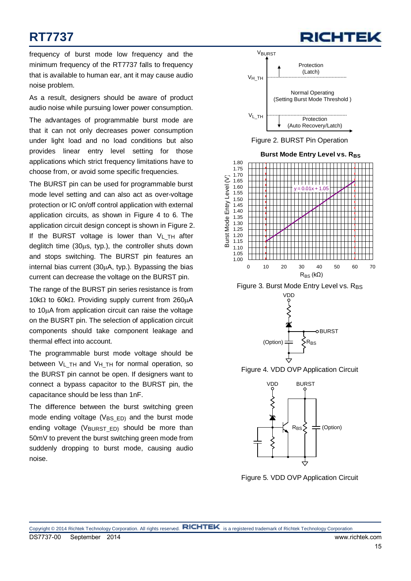frequency of burst mode low frequency and the minimum frequency of the RT7737 falls to frequency that is available to human ear, ant it may cause audio noise problem.

As a result, designers should be aware of product audio noise while pursuing lower power consumption.

The advantages of programmable burst mode are that it can not only decreases power consumption under light load and no load conditions but also provides linear entry level setting for those applications which strict frequency limitations have to choose from, or avoid some specific frequencies.

The BURST pin can be used for programmable burst mode level setting and can also act as over-voltage protection or IC on/off control application with external application circuits, as shown in Figure 4 to 6. The application circuit design concept is shown in Figure 2. If the BURST voltage is lower than  $V_L$ <sub>TH</sub> after deglitch time (30 $\mu$ s, typ.), the controller shuts down and stops switching. The BURST pin features an internal bias current (30 $\mu$ A, typ.). Bypassing the bias current can decrease the voltage on the BURST pin.

The range of the BURST pin series resistance is from 10k $\Omega$  to 60k $\Omega$ . Providing supply current from 260 $\mu$ A to 10 $\mu$ A from application circuit can raise the voltage on the BUSRT pin. The selection of application circuit components should take component leakage and thermal effect into account.

The programmable burst mode voltage should be between  $V_L$  TH and  $V_H$  TH for normal operation, so the BURST pin cannot be open. If designers want to connect a bypass capacitor to the BURST pin, the capacitance should be less than 1nF.

The difference between the burst switching green mode ending voltage (VBS ED) and the burst mode ending voltage (VBURST ED) should be more than 50mV to prevent the burst switching green mode from suddenly dropping to burst mode, causing audio noise.



**RICHTEK** 

Figure 3. Burst Mode Entry Level vs. RBS  $R_{BS}$  (kΩ)

0 10 20 30 40 50 60 70



Figure 4. VDD OVP Application Circuit



Figure 5. VDD OVP Application Circuit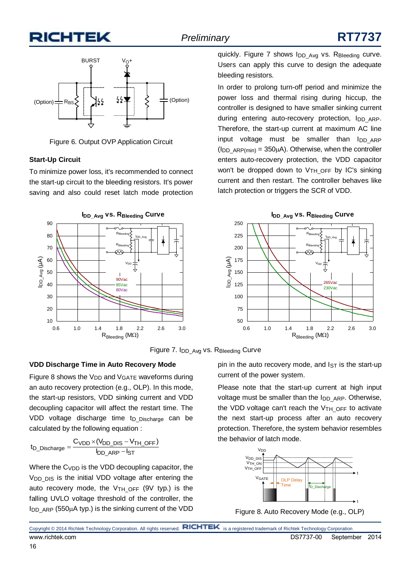### *Preliminary* **RT7737**



Figure 6. Output OVP Application Circuit

### **Start-Up Circuit**

To minimize power loss, it's recommended to connect the start-up circuit to the bleeding resistors. It's power saving and also could reset latch mode protection



quickly. Figure 7 shows I<sub>DD Avg</sub> vs. R<sub>Bleeding</sub> curve. Users can apply this curve to design the adequate bleeding resistors.

In order to prolong turn-off period and minimize the power loss and thermal rising during hiccup, the controller is designed to have smaller sinking current during entering auto-recovery protection. IDD ARP. Therefore, the start-up current at maximum AC line input voltage must be smaller than  $I_{DD;ARP}$  $(1DD ARP(min) = 350\mu A)$ . Otherwise, when the controller enters auto-recovery protection, the VDD capacitor won't be dropped down to V<sub>TH</sub> OFF by IC's sinking current and then restart. The controller behaves like latch protection or triggers the SCR of VDD.



Figure 7. I<sub>DD</sub> Avg vs. R<sub>Bleeding</sub> Curve

### **VDD Discharge Time in Auto Recovery Mode**

Figure 8 shows the  $V_{DD}$  and  $V_{GATE}$  waveforms during an auto recovery protection (e.g., OLP). In this mode, the start-up resistors, VDD sinking current and VDD decoupling capacitor will affect the restart time. The VDD voltage discharge time t<sub>D</sub> Discharge can be

calculated by the following equation :  
\n
$$
t_{D\_Discharge} = \frac{C_{VDD} \times (V_{DD\_DIS} - V_{TH\_OFF})}{I_{DD\_ARP} - I_{ST}}
$$

Where the  $C<sub>VDD</sub>$  is the VDD decoupling capacitor, the V<sub>DD</sub> <sub>DIS</sub> is the initial VDD voltage after entering the auto recovery mode, the  $V<sub>TH</sub>$   $OFF$  (9V typ.) is the falling UVLO voltage threshold of the controller, the  $I_{DD}$  ARP (550 $\mu$ A typ.) is the sinking current of the VDD

pin in the auto recovery mode, and  $I_{ST}$  is the start-up current of the power system.

Please note that the start-up current at high input voltage must be smaller than the  $I_{DD-ARP.}$  Otherwise, the VDD voltage can't reach the  $V_{TH}$  OFF to activate the next start-up process after an auto recovery protection. Therefore, the system behavior resembles the behavior of latch mode.



Figure 8. Auto Recovery Mode (e.g., OLP)

Copyright © 2014 Richtek Technology Corporation. All rights reserved. RICHTEK is a registered trademark of Richtek Technology Corporation www.richtek.com DS7737-00 September 2014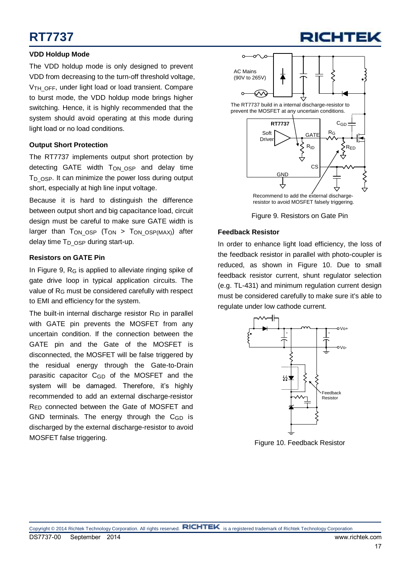### **VDD Holdup Mode**

The VDD holdup mode is only designed to prevent VDD from decreasing to the turn-off threshold voltage, V<sub>TH</sub> OFF, under light load or load transient. Compare to burst mode, the VDD holdup mode brings higher switching. Hence, it is highly recommended that the system should avoid operating at this mode during light load or no load conditions.

### **Output Short Protection**

The RT7737 implements output short protection by detecting GATE width T<sub>ON OSP</sub> and delay time T<sub>D</sub> OSP. It can minimize the power loss during output short, especially at high line input voltage.

Because it is hard to distinguish the difference between output short and big capacitance load, circuit design must be careful to make sure GATE width is larger than Ton osp (Ton  $>$  Ton osp(MAX)) after delay time T<sub>D</sub> OSP during start-up.

### **Resistors on GATE Pin**

In Figure 9, RG is applied to alleviate ringing spike of gate drive loop in typical application circuits. The value of RG must be considered carefully with respect to EMI and efficiency for the system.

The built-in internal discharge resistor R<sub>ID</sub> in parallel with GATE pin prevents the MOSFET from any uncertain condition. If the connection between the GATE pin and the Gate of the MOSFET is disconnected, the MOSFET will be false triggered by the residual energy through the Gate-to-Drain parasitic capacitor CGD of the MOSFET and the system will be damaged. Therefore, it's highly recommended to add an external discharge-resistor RED connected between the Gate of MOSFET and GND terminals. The energy through the CGD is discharged by the external discharge-resistor to avoid MOSFET false triggering.



**RICHTEK** 

Figure 9. Resistors on Gate Pin

### **Feedback Resistor**

In order to enhance light load efficiency, the loss of the feedback resistor in parallel with photo-coupler is reduced, as shown in Figure 10. Due to small feedback resistor current, shunt regulator selection (e.g. TL-431) and minimum regulation current design must be considered carefully to make sure it's able to regulate under low cathode current.



Figure 10. Feedback Resistor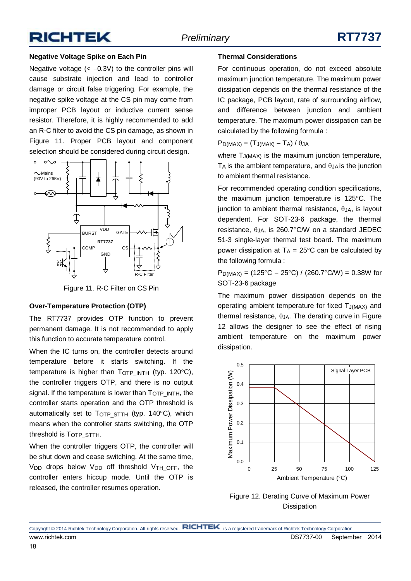## *Preliminary* **RT7737**

### **Negative Voltage Spike on Each Pin**

Negative voltage  $(< -0.3V)$  to the controller pins will cause substrate injection and lead to controller damage or circuit false triggering. For example, the negative spike voltage at the CS pin may come from improper PCB layout or inductive current sense resistor. Therefore, it is highly recommended to add an R-C filter to avoid the CS pin damage, as shown in Figure 11. Proper PCB layout and component selection should be considered during circuit design.



Figure 11. R-C Filter on CS Pin

#### **Over-Temperature Protection (OTP)**

The RT7737 provides OTP function to prevent permanent damage. It is not recommended to apply this function to accurate temperature control.

When the IC turns on, the controller detects around temperature before it starts switching. If the temperature is higher than  $T_{\text{OTP\_INTH}}$  (typ. 120 $^{\circ}$ C), the controller triggers OTP, and there is no output signal. If the temperature is lower than  $T_{\text{OTP}}$  INTH, the controller starts operation and the OTP threshold is automatically set to  $T_{\text{OTP}}$   $_{\text{STTH}}$  (typ. 140 $^{\circ}$ C), which means when the controller starts switching, the OTP threshold is TOTP\_STTH.

When the controller triggers OTP, the controller will be shut down and cease switching. At the same time,  $V_{DD}$  drops below  $V_{DD}$  off threshold  $V_{TH}$  off, the controller enters hiccup mode. Until the OTP is released, the controller resumes operation.

### **Thermal Considerations**

For continuous operation, do not exceed absolute maximum junction temperature. The maximum power dissipation depends on the thermal resistance of the IC package, PCB layout, rate of surrounding airflow, and difference between junction and ambient temperature. The maximum power dissipation can be calculated by the following formula :

 $P_{\text{D}(MAX)} = (T_{\text{J}(MAX)} - T_{\text{A}})/\theta_{\text{JA}}$ 

where T<sub>J(MAX)</sub> is the maximum junction temperature,  $T_A$  is the ambient temperature, and  $\theta_{JA}$  is the junction to ambient thermal resistance.

For recommended operating condition specifications, the maximum junction temperature is  $125^{\circ}$ C. The junction to ambient thermal resistance,  $\theta_{JA}$ , is layout dependent. For SOT-23-6 package, the thermal resistance,  $\theta$ JA, is 260.7°C/W on a standard JEDEC 51-3 single-layer thermal test board. The maximum power dissipation at  $T_A = 25^{\circ}C$  can be calculated by the following formula :

 $P_{D(MAX)} = (125^{\circ}C - 25^{\circ}C) / (260.7^{\circ}C/W) = 0.38W$  for SOT-23-6 package

The maximum power dissipation depends on the operating ambient temperature for fixed TJ(MAX) and thermal resistance,  $\theta$ JA. The derating curve in Figure 12 allows the designer to see the effect of rising ambient temperature on the maximum power dissipation.



Figure 12. Derating Curve of Maximum Power Dissipation

Copyright © 2014 Richtek Technology Corporation. All rights reserved. RICHTEK is a registered trademark of Richtek Technology Corporation www.richtek.com DS7737-00 September 2014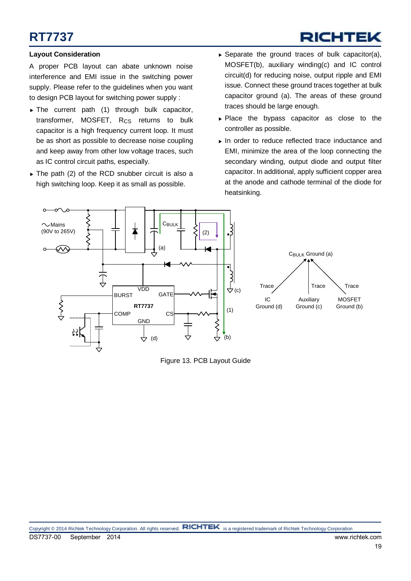# **RICHTEK**

#### **Layout Consideration**

A proper PCB layout can abate unknown noise interference and EMI issue in the switching power supply. Please refer to the guidelines when you want to design PCB layout for switching power supply :

- $\triangleright$  The current path (1) through bulk capacitor, transformer, MOSFET, Rcs returns to bulk capacitor is a high frequency current loop. It must be as short as possible to decrease noise coupling and keep away from other low voltage traces, such as IC control circuit paths, especially.
- $\triangleright$  The path (2) of the RCD snubber circuit is also a high switching loop. Keep it as small as possible.
- $\triangleright$  Separate the ground traces of bulk capacitor(a), MOSFET(b), auxiliary winding(c) and IC control circuit(d) for reducing noise, output ripple and EMI issue. Connect these ground traces together at bulk capacitor ground (a). The areas of these ground traces should be large enough.
- ▶ Place the bypass capacitor as close to the controller as possible.
- In order to reduce reflected trace inductance and EMI, minimize the area of the loop connecting the secondary winding, output diode and output filter capacitor. In additional, apply sufficient copper area at the anode and cathode terminal of the diode for heatsinking.



Figure 13. PCB Layout Guide